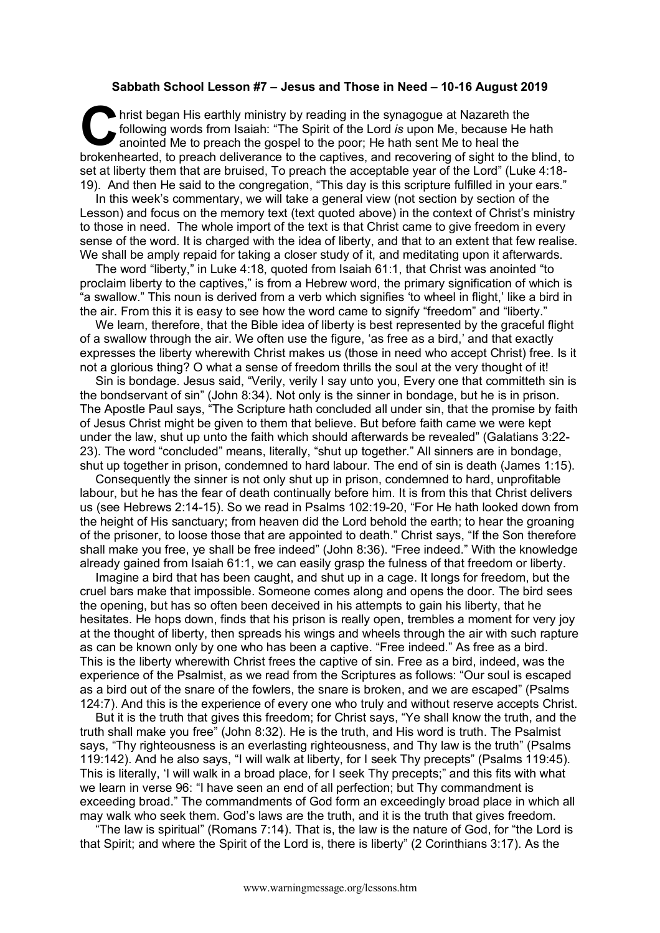## **Sabbath School Lesson #7 – Jesus and Those in Need – 10-16 August 2019**

hrist began His earthly ministry by reading in the synagogue at Nazareth the following words from Isaiah: "The Spirit of the Lord *is* upon Me, because He handlen anointed Me to preach the gospel to the poor; He hath sent following words from Isaiah: "The Spirit of the Lord *is* upon Me, because He hath anointed Me to preach the gospel to the poor; He hath sent Me to heal the brokenhearted, to preach deliverance to the captives, and recovering of sight to the blind, to set at liberty them that are bruised, To preach the acceptable year of the Lord" (Luke 4:18- 19). And then He said to the congregation, "This day is this scripture fulfilled in your ears."

In this week's commentary, we will take a general view (not section by section of the Lesson) and focus on the memory text (text quoted above) in the context of Christ's ministry to those in need. The whole import of the text is that Christ came to give freedom in every sense of the word. It is charged with the idea of liberty, and that to an extent that few realise. We shall be amply repaid for taking a closer study of it, and meditating upon it afterwards.

The word "liberty," in Luke 4:18, quoted from Isaiah 61:1, that Christ was anointed "to proclaim liberty to the captives," is from a Hebrew word, the primary signification of which is "a swallow." This noun is derived from a verb which signifies 'to wheel in flight,' like a bird in the air. From this it is easy to see how the word came to signify "freedom" and "liberty."

We learn, therefore, that the Bible idea of liberty is best represented by the graceful flight of a swallow through the air. We often use the figure, 'as free as a bird,' and that exactly expresses the liberty wherewith Christ makes us (those in need who accept Christ) free. Is it not a glorious thing? O what a sense of freedom thrills the soul at the very thought of it!

Sin is bondage. Jesus said, "Verily, verily I say unto you, Every one that committeth sin is the bondservant of sin" (John 8:34). Not only is the sinner in bondage, but he is in prison. The Apostle Paul says, "The Scripture hath concluded all under sin, that the promise by faith of Jesus Christ might be given to them that believe. But before faith came we were kept under the law, shut up unto the faith which should afterwards be revealed" (Galatians 3:22- 23). The word "concluded" means, literally, "shut up together." All sinners are in bondage, shut up together in prison, condemned to hard labour. The end of sin is death (James 1:15).

Consequently the sinner is not only shut up in prison, condemned to hard, unprofitable labour, but he has the fear of death continually before him. It is from this that Christ delivers us (see Hebrews 2:14-15). So we read in Psalms 102:19-20, "For He hath looked down from the height of His sanctuary; from heaven did the Lord behold the earth; to hear the groaning of the prisoner, to loose those that are appointed to death." Christ says, "If the Son therefore shall make you free, ye shall be free indeed" (John 8:36). "Free indeed." With the knowledge already gained from Isaiah 61:1, we can easily grasp the fulness of that freedom or liberty.

Imagine a bird that has been caught, and shut up in a cage. It longs for freedom, but the cruel bars make that impossible. Someone comes along and opens the door. The bird sees the opening, but has so often been deceived in his attempts to gain his liberty, that he hesitates. He hops down, finds that his prison is really open, trembles a moment for very joy at the thought of liberty, then spreads his wings and wheels through the air with such rapture as can be known only by one who has been a captive. "Free indeed." As free as a bird. This is the liberty wherewith Christ frees the captive of sin. Free as a bird, indeed, was the experience of the Psalmist, as we read from the Scriptures as follows: "Our soul is escaped as a bird out of the snare of the fowlers, the snare is broken, and we are escaped" (Psalms 124:7). And this is the experience of every one who truly and without reserve accepts Christ.

But it is the truth that gives this freedom; for Christ says, "Ye shall know the truth, and the truth shall make you free" (John 8:32). He is the truth, and His word is truth. The Psalmist says, "Thy righteousness is an everlasting righteousness, and Thy law is the truth" (Psalms 119:142). And he also says, "I will walk at liberty, for I seek Thy precepts" (Psalms 119:45). This is literally, 'I will walk in a broad place, for I seek Thy precepts;" and this fits with what we learn in verse 96: "I have seen an end of all perfection; but Thy commandment is exceeding broad." The commandments of God form an exceedingly broad place in which all may walk who seek them. God's laws are the truth, and it is the truth that gives freedom.

"The law is spiritual" (Romans 7:14). That is, the law is the nature of God, for "the Lord is that Spirit; and where the Spirit of the Lord is, there is liberty" (2 Corinthians 3:17). As the